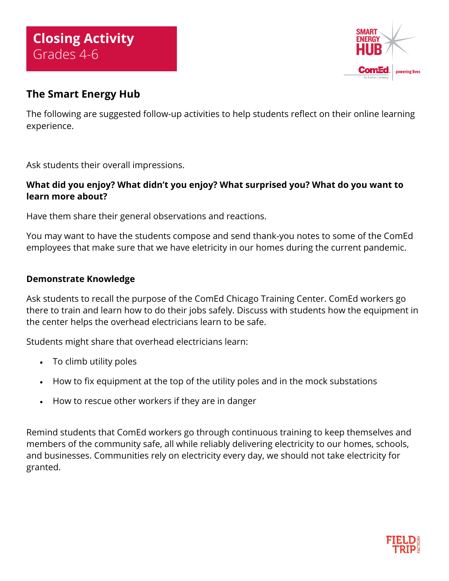

## **The Smart Energy Hub**

The following are suggested follow-up activities to help students reflect on their online learning experience.

Ask students their overall impressions.

### **What did you enjoy? What didn't you enjoy? What surprised you? What do you want to learn more about?**

Have them share their general observations and reactions.

You may want to have the students compose and send thank-you notes to some of the ComEd employees that make sure that we have eletricity in our homes during the current pandemic.

#### **Demonstrate Knowledge**

Ask students to recall the purpose of the ComEd Chicago Training Center. ComEd workers go there to train and learn how to do their jobs safely. Discuss with students how the equipment in the center helps the overhead electricians learn to be safe.

Students might share that overhead electricians learn:

- To climb utility poles
- How to fix equipment at the top of the utility poles and in the mock substations
- How to rescue other workers if they are in danger

Remind students that ComEd workers go through continuous training to keep themselves and members of the community safe, all while reliably delivering electricity to our homes, schools, and businesses. Communities rely on electricity every day, we should not take electricity for granted.

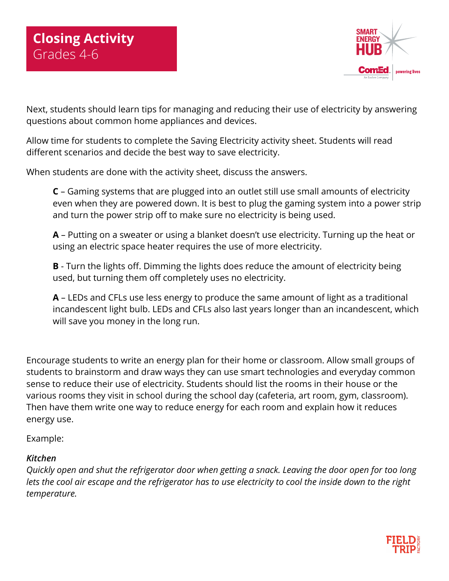

Next, students should learn tips for managing and reducing their use of electricity by answering questions about common home appliances and devices.

Allow time for students to complete the Saving Electricity activity sheet. Students will read different scenarios and decide the best way to save electricity.

When students are done with the activity sheet, discuss the answers.

**C** – Gaming systems that are plugged into an outlet still use small amounts of electricity even when they are powered down. It is best to plug the gaming system into a power strip and turn the power strip off to make sure no electricity is being used.

**A** – Putting on a sweater or using a blanket doesn't use electricity. Turning up the heat or using an electric space heater requires the use of more electricity.

**B** - Turn the lights off. Dimming the lights does reduce the amount of electricity being used, but turning them off completely uses no electricity.

**A** – LEDs and CFLs use less energy to produce the same amount of light as a traditional incandescent light bulb. LEDs and CFLs also last years longer than an incandescent, which will save you money in the long run.

Encourage students to write an energy plan for their home or classroom. Allow small groups of students to brainstorm and draw ways they can use smart technologies and everyday common sense to reduce their use of electricity. Students should list the rooms in their house or the various rooms they visit in school during the school day (cafeteria, art room, gym, classroom). Then have them write one way to reduce energy for each room and explain how it reduces energy use.

Example:

#### *Kitchen*

*Quickly open and shut the refrigerator door when getting a snack. Leaving the door open for too long lets the cool air escape and the refrigerator has to use electricity to cool the inside down to the right temperature.*